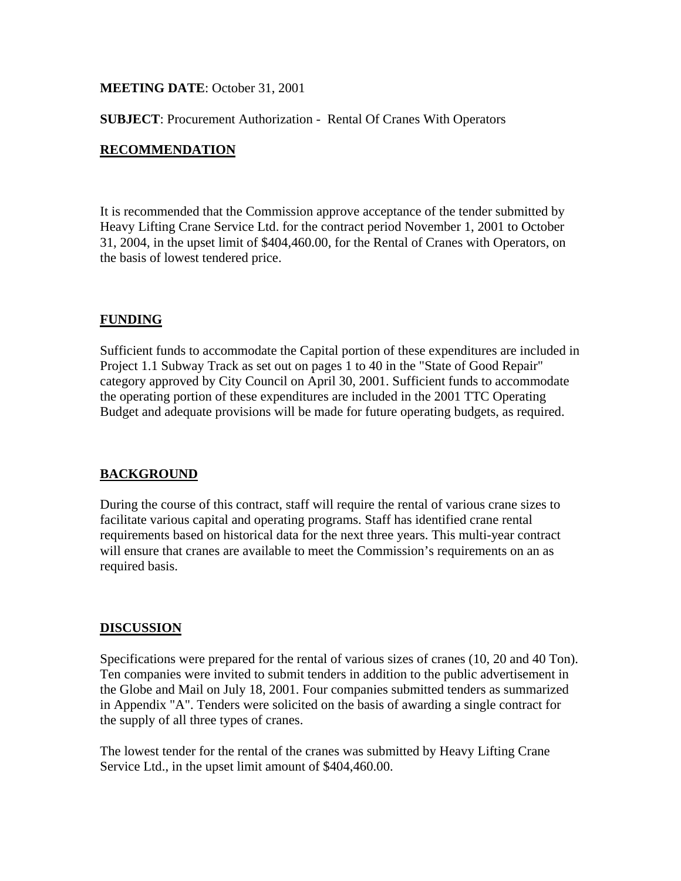#### **MEETING DATE**: October 31, 2001

**SUBJECT**: Procurement Authorization - Rental Of Cranes With Operators

### **RECOMMENDATION**

It is recommended that the Commission approve acceptance of the tender submitted by Heavy Lifting Crane Service Ltd. for the contract period November 1, 2001 to October 31, 2004, in the upset limit of \$404,460.00, for the Rental of Cranes with Operators, on the basis of lowest tendered price.

#### **FUNDING**

Sufficient funds to accommodate the Capital portion of these expenditures are included in Project 1.1 Subway Track as set out on pages 1 to 40 in the "State of Good Repair" category approved by City Council on April 30, 2001. Sufficient funds to accommodate the operating portion of these expenditures are included in the 2001 TTC Operating Budget and adequate provisions will be made for future operating budgets, as required.

## **BACKGROUND**

During the course of this contract, staff will require the rental of various crane sizes to facilitate various capital and operating programs. Staff has identified crane rental requirements based on historical data for the next three years. This multi-year contract will ensure that cranes are available to meet the Commission's requirements on an as required basis.

#### **DISCUSSION**

Specifications were prepared for the rental of various sizes of cranes (10, 20 and 40 Ton). Ten companies were invited to submit tenders in addition to the public advertisement in the Globe and Mail on July 18, 2001. Four companies submitted tenders as summarized in Appendix "A". Tenders were solicited on the basis of awarding a single contract for the supply of all three types of cranes.

The lowest tender for the rental of the cranes was submitted by Heavy Lifting Crane Service Ltd., in the upset limit amount of \$404,460.00.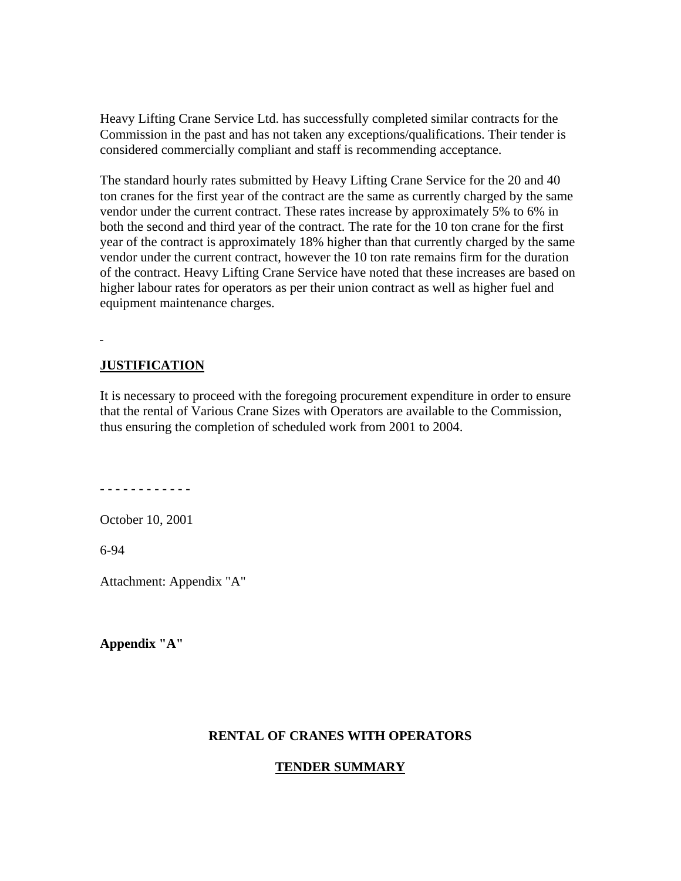Heavy Lifting Crane Service Ltd. has successfully completed similar contracts for the Commission in the past and has not taken any exceptions/qualifications. Their tender is considered commercially compliant and staff is recommending acceptance.

The standard hourly rates submitted by Heavy Lifting Crane Service for the 20 and 40 ton cranes for the first year of the contract are the same as currently charged by the same vendor under the current contract. These rates increase by approximately 5% to 6% in both the second and third year of the contract. The rate for the 10 ton crane for the first year of the contract is approximately 18% higher than that currently charged by the same vendor under the current contract, however the 10 ton rate remains firm for the duration of the contract. Heavy Lifting Crane Service have noted that these increases are based on higher labour rates for operators as per their union contract as well as higher fuel and equipment maintenance charges.

# **JUSTIFICATION**

It is necessary to proceed with the foregoing procurement expenditure in order to ensure that the rental of Various Crane Sizes with Operators are available to the Commission, thus ensuring the completion of scheduled work from 2001 to 2004.

- - - - - - - - - - - -

October 10, 2001

6-94

Attachment: Appendix "A"

**Appendix "A"** 

#### **RENTAL OF CRANES WITH OPERATORS**

#### **TENDER SUMMARY**